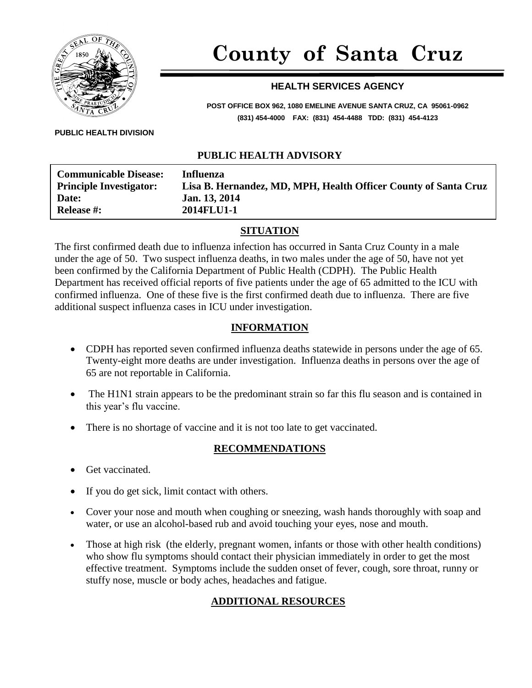

# **County of Santa Cruz**

# **HEALTH SERVICES AGENCY**

**POST OFFICE BOX 962, 1080 EMELINE AVENUE SANTA CRUZ, CA 95061-0962 (831) 454-4000 FAX: (831) 454-4488 TDD: (831) 454-4123**

#### **PUBLIC HEALTH DIVISION**

### **PUBLIC HEALTH ADVISORY**

| <b>Communicable Disease:</b>   | Influenza                                                       |
|--------------------------------|-----------------------------------------------------------------|
| <b>Principle Investigator:</b> | Lisa B. Hernandez, MD, MPH, Health Officer County of Santa Cruz |
| <b>Date:</b>                   | Jan. 13, 2014                                                   |
| <b>Release #:</b>              | 2014FLU1-1                                                      |
|                                |                                                                 |

#### **SITUATION**

The first confirmed death due to influenza infection has occurred in Santa Cruz County in a male under the age of 50. Two suspect influenza deaths, in two males under the age of 50, have not yet been confirmed by the California Department of Public Health (CDPH). The Public Health Department has received official reports of five patients under the age of 65 admitted to the ICU with confirmed influenza. One of these five is the first confirmed death due to influenza. There are five additional suspect influenza cases in ICU under investigation.

#### **INFORMATION**

- CDPH has reported seven confirmed influenza deaths statewide in persons under the age of 65. Twenty-eight more deaths are under investigation. Influenza deaths in persons over the age of 65 are not reportable in California.
- The H1N1 strain appears to be the predominant strain so far this flu season and is contained in this year's flu vaccine.
- There is no shortage of vaccine and it is not too late to get vaccinated.

#### **RECOMMENDATIONS**

- Get vaccinated.
- If you do get sick, limit contact with others.
- Cover your nose and mouth when coughing or sneezing, wash hands thoroughly with soap and water, or use an alcohol-based rub and avoid touching your eyes, nose and mouth.
- Those at high risk (the elderly, pregnant women, infants or those with other health conditions) who show flu symptoms should contact their physician immediately in order to get the most effective treatment. Symptoms include the sudden onset of fever, cough, sore throat, runny or stuffy nose, muscle or body aches, headaches and fatigue.

# **ADDITIONAL RESOURCES**